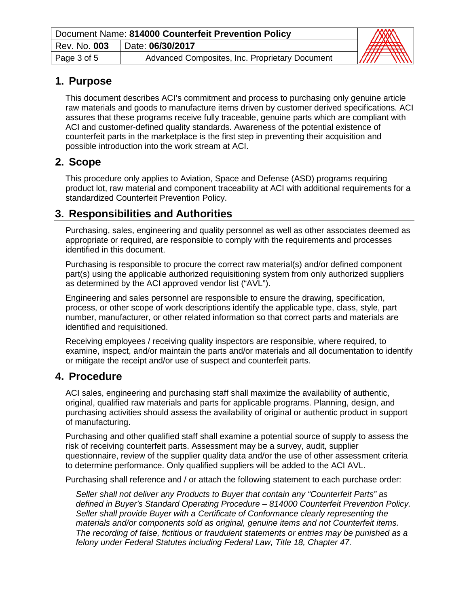| Document Name: 814000 Counterfeit Prevention Policy | $\begin{picture}(20,10) \put(0,0){\line(1,0){10}} \put(15,0){\line(1,0){10}} \put(15,0){\line(1,0){10}} \put(15,0){\line(1,0){10}} \put(15,0){\line(1,0){10}} \put(15,0){\line(1,0){10}} \put(15,0){\line(1,0){10}} \put(15,0){\line(1,0){10}} \put(15,0){\line(1,0){10}} \put(15,0){\line(1,0){10}} \put(15,0){\line(1,0){10}} \put(15,0){\line(1$ |                                                |                  |
|-----------------------------------------------------|-----------------------------------------------------------------------------------------------------------------------------------------------------------------------------------------------------------------------------------------------------------------------------------------------------------------------------------------------------|------------------------------------------------|------------------|
| Rev. No. 003                                        | Date: 06/30/2017                                                                                                                                                                                                                                                                                                                                    |                                                |                  |
| Page 3 of 5                                         |                                                                                                                                                                                                                                                                                                                                                     | Advanced Composites, Inc. Proprietary Document | <b>MMT</b><br>mm |

### **1. Purpose**

This document describes ACI's commitment and process to purchasing only genuine article raw materials and goods to manufacture items driven by customer derived specifications. ACI assures that these programs receive fully traceable, genuine parts which are compliant with ACI and customer-defined quality standards. Awareness of the potential existence of counterfeit parts in the marketplace is the first step in preventing their acquisition and possible introduction into the work stream at ACI.

## **2. Scope**

This procedure only applies to Aviation, Space and Defense (ASD) programs requiring product lot, raw material and component traceability at ACI with additional requirements for a standardized Counterfeit Prevention Policy.

### **3. Responsibilities and Authorities**

Purchasing, sales, engineering and quality personnel as well as other associates deemed as appropriate or required, are responsible to comply with the requirements and processes identified in this document.

Purchasing is responsible to procure the correct raw material(s) and/or defined component part(s) using the applicable authorized requisitioning system from only authorized suppliers as determined by the ACI approved vendor list ("AVL").

Engineering and sales personnel are responsible to ensure the drawing, specification, process, or other scope of work descriptions identify the applicable type, class, style, part number, manufacturer, or other related information so that correct parts and materials are identified and requisitioned.

Receiving employees / receiving quality inspectors are responsible, where required, to examine, inspect, and/or maintain the parts and/or materials and all documentation to identify or mitigate the receipt and/or use of suspect and counterfeit parts.

### **4. Procedure**

ACI sales, engineering and purchasing staff shall maximize the availability of authentic, original, qualified raw materials and parts for applicable programs. Planning, design, and purchasing activities should assess the availability of original or authentic product in support of manufacturing.

Purchasing and other qualified staff shall examine a potential source of supply to assess the risk of receiving counterfeit parts. Assessment may be a survey, audit, supplier questionnaire, review of the supplier quality data and/or the use of other assessment criteria to determine performance. Only qualified suppliers will be added to the ACI AVL.

Purchasing shall reference and / or attach the following statement to each purchase order:

*Seller shall not deliver any Products to Buyer that contain any "Counterfeit Parts" as defined in Buyer's Standard Operating Procedure – 814000 Counterfeit Prevention Policy. Seller shall provide Buyer with a Certificate of Conformance clearly representing the materials and/or components sold as original, genuine items and not Counterfeit items. The recording of false, fictitious or fraudulent statements or entries may be punished as a felony under Federal Statutes including Federal Law, Title 18, Chapter 47.*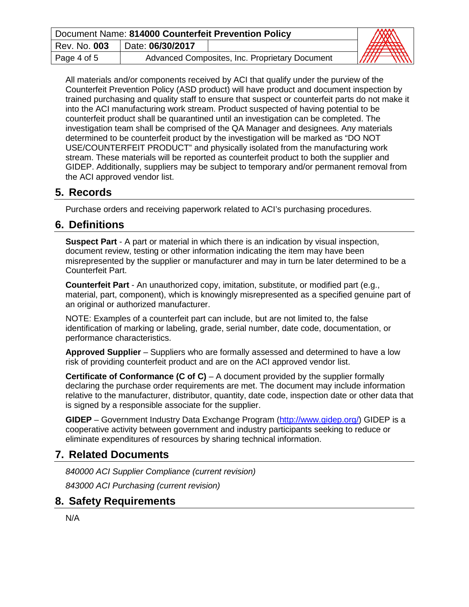| Document Name: 814000 Counterfeit Prevention Policy | <b>CONTROLLER BANDA</b> |                                                |                                   |
|-----------------------------------------------------|-------------------------|------------------------------------------------|-----------------------------------|
| Rev. No. 003                                        | Date: 06/30/2017        |                                                |                                   |
| Page 4 of 5                                         |                         | Advanced Composites, Inc. Proprietary Document | $\overline{m}$<br>//////<br>///// |

All materials and/or components received by ACI that qualify under the purview of the Counterfeit Prevention Policy (ASD product) will have product and document inspection by trained purchasing and quality staff to ensure that suspect or counterfeit parts do not make it into the ACI manufacturing work stream. Product suspected of having potential to be counterfeit product shall be quarantined until an investigation can be completed. The investigation team shall be comprised of the QA Manager and designees. Any materials determined to be counterfeit product by the investigation will be marked as "DO NOT USE/COUNTERFEIT PRODUCT" and physically isolated from the manufacturing work stream. These materials will be reported as counterfeit product to both the supplier and GIDEP. Additionally, suppliers may be subject to temporary and/or permanent removal from the ACI approved vendor list.

### **5. Records**

Purchase orders and receiving paperwork related to ACI's purchasing procedures.

#### **6. Definitions**

**Suspect Part** - A part or material in which there is an indication by visual inspection, document review, testing or other information indicating the item may have been misrepresented by the supplier or manufacturer and may in turn be later determined to be a Counterfeit Part.

**Counterfeit Part** - An unauthorized copy, imitation, substitute, or modified part (e.g., material, part, component), which is knowingly misrepresented as a specified genuine part of an original or authorized manufacturer.

NOTE: Examples of a counterfeit part can include, but are not limited to, the false identification of marking or labeling, grade, serial number, date code, documentation, or performance characteristics.

**Approved Supplier** – Suppliers who are formally assessed and determined to have a low risk of providing counterfeit product and are on the ACI approved vendor list.

**Certificate of Conformance (C of C)** – A document provided by the supplier formally declaring the purchase order requirements are met. The document may include information relative to the manufacturer, distributor, quantity, date code, inspection date or other data that is signed by a responsible associate for the supplier.

**GIDEP** – Government Industry Data Exchange Program [\(http://www.gidep.org/\)](http://www.gidep.org/) GIDEP is a cooperative activity between government and industry participants seeking to reduce or eliminate expenditures of resources by sharing technical information.

### **7. Related Documents**

*840000 ACI Supplier Compliance (current revision)*

*843000 ACI Purchasing (current revision)*

### **8. Safety Requirements**

N/A